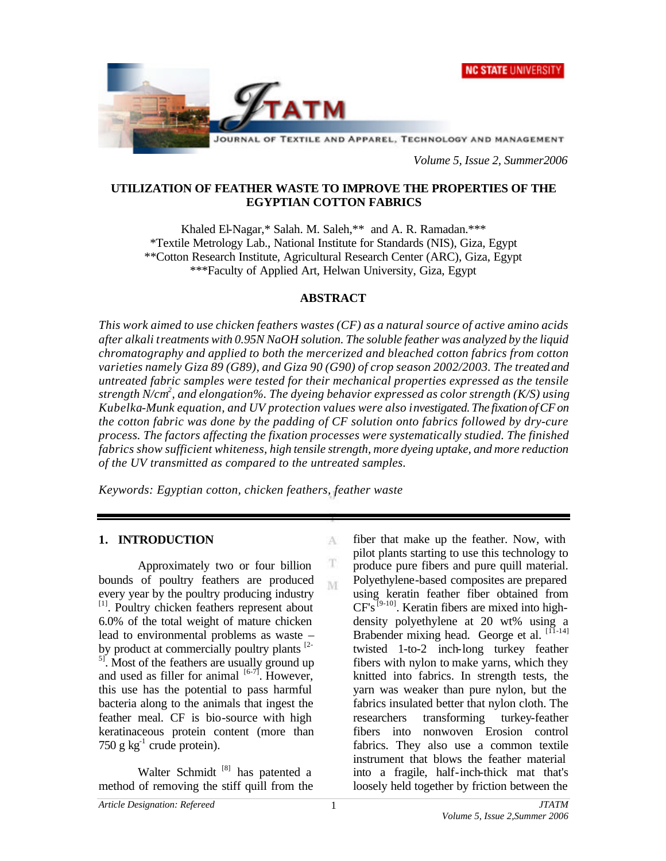



*Volume 5, Issue 2, Summer2006*

### **UTILIZATION OF FEATHER WASTE TO IMPROVE THE PROPERTIES OF THE EGYPTIAN COTTON FABRICS**

Khaled El-Nagar,\* Salah. M. Saleh,\*\* and A. R. Ramadan.\*\*\* \*Textile Metrology Lab., National Institute for Standards (NIS), Giza, Egypt \*\*Cotton Research Institute, Agricultural Research Center (ARC), Giza, Egypt \*\*\*Faculty of Applied Art, Helwan University, Giza, Egypt

## **ABSTRACT**

*This work aimed to use chicken feathers wastes (CF) as a natural source of active amino acids after alkali treatments with 0.95N NaOH solution. The soluble feather was analyzed by the liquid chromatography and applied to both the mercerized and bleached cotton fabrics from cotton varieties namely Giza 89 (G89), and Giza 90 (G90) of crop season 2002/2003. The treated and untreated fabric samples were tested for their mechanical properties expressed as the tensile strength N/cm<sup>2</sup> , and elongation%. The dyeing behavior expressed as color strength (K/S) using Kubelka-Munk equation, and UV protection values were also investigated. The fixation of CF on the cotton fabric was done by the padding of CF solution onto fabrics followed by dry-cure process. The factors affecting the fixation processes were systematically studied. The finished fabrics show sufficient whiteness, high tensile strength, more dyeing uptake, and more reduction of the UV transmitted as compared to the untreated samples.* 

A

т M

*Keywords: Egyptian cotton, chicken feathers, feather waste*

#### **1. INTRODUCTION**

Approximately two or four billion bounds of poultry feathers are produced every year by the poultry producing industry [1]. Poultry chicken feathers represent about 6.0% of the total weight of mature chicken lead to environmental problems as waste – by product at commercially poultry plants <sup>[2-1</sup>]  $\overline{\phantom{a}}^{5}$ . Most of the feathers are usually ground up and used as filler for animal  $[6-7]$ . However, this use has the potential to pass harmful bacteria along to the animals that ingest the feather meal. CF is bio-source with high keratinaceous protein content (more than  $750$  g kg<sup>-1</sup> crude protein).

Walter Schmidt<sup>[8]</sup> has patented a method of removing the stiff quill from the fiber that make up the feather. Now, with pilot plants starting to use this technology to produce pure fibers and pure quill material. Polyethylene-based composites are prepared using keratin feather fiber obtained from  $CF's^{[9-10]}$ . Keratin fibers are mixed into highdensity polyethylene at 20 wt% using a Brabender mixing head. George et al. [11-14] twisted 1-to-2 inch-long turkey feather fibers with nylon to make yarns, which they knitted into fabrics. In strength tests, the yarn was weaker than pure nylon, but the fabrics insulated better that nylon cloth. The researchers transforming turkey-feather fibers into nonwoven Erosion control fabrics. They also use a common textile instrument that blows the feather material into a fragile, half-inch-thick mat that's loosely held together by friction between the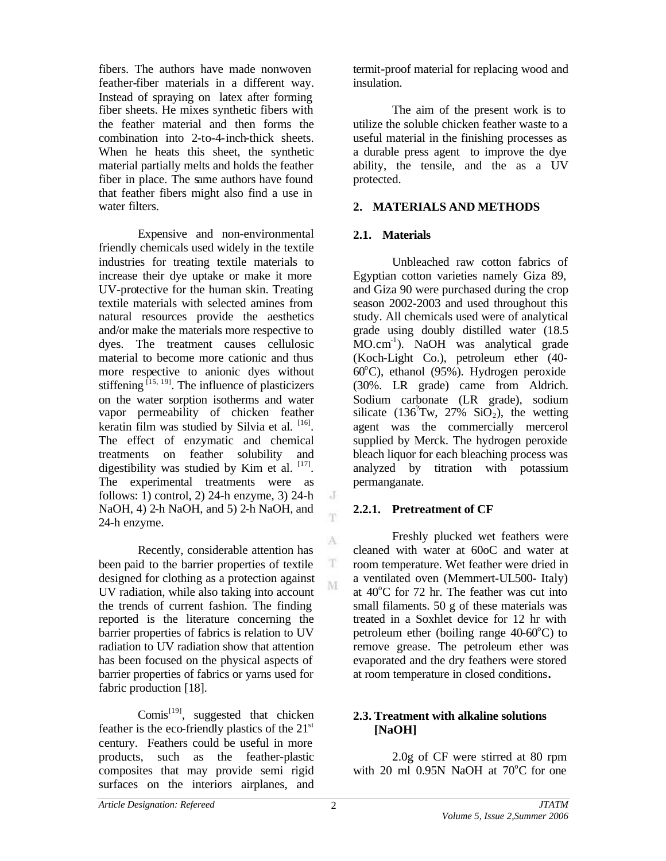fibers. The authors have made nonwoven feather-fiber materials in a different way. Instead of spraying on latex after forming fiber sheets. He mixes synthetic fibers with the feather material and then forms the combination into 2-to-4-inch-thick sheets. When he heats this sheet, the synthetic material partially melts and holds the feather fiber in place. The same authors have found that feather fibers might also find a use in water filters.

Expensive and non-environmental friendly chemicals used widely in the textile industries for treating textile materials to increase their dye uptake or make it more UV-protective for the human skin. Treating textile materials with selected amines from natural resources provide the aesthetics and/or make the materials more respective to dyes. The treatment causes cellulosic material to become more cationic and thus more respective to anionic dyes without stiffening  $^{[15, 19]}$ . The influence of plasticizers on the water sorption isotherms and water vapor permeability of chicken feather keratin film was studied by Silvia et al. [16]. The effect of enzymatic and chemical treatments on feather solubility and digestibility was studied by Kim et al.  $[17]$ . The experimental treatments were as follows: 1) control, 2) 24-h enzyme, 3) 24-h NaOH, 4) 2-h NaOH, and 5) 2-h NaOH, and 24-h enzyme.

Recently, considerable attention has been paid to the barrier properties of textile designed for clothing as a protection against UV radiation, while also taking into account the trends of current fashion. The finding reported is the literature concerning the barrier properties of fabrics is relation to UV radiation to UV radiation show that attention has been focused on the physical aspects of barrier properties of fabrics or yarns used for fabric production [18].

Comis<sup>[19]</sup>, suggested that chicken feather is the eco-friendly plastics of the  $21<sup>st</sup>$ century. Feathers could be useful in more products, such as the feather-plastic composites that may provide semi rigid surfaces on the interiors airplanes, and

termit-proof material for replacing wood and insulation.

The aim of the present work is to utilize the soluble chicken feather waste to a useful material in the finishing processes as a durable press agent to improve the dye ability, the tensile, and the as a UV protected.

## **2. MATERIALS AND METHODS**

## **2.1. Materials**

Unbleached raw cotton fabrics of Egyptian cotton varieties namely Giza 89, and Giza 90 were purchased during the crop season 2002-2003 and used throughout this study. All chemicals used were of analytical grade using doubly distilled water (18.5 MO.cm<sup>-1</sup>). NaOH was analytical grade (Koch-Light Co.), petroleum ether (40-  $60^{\circ}$ C), ethanol (95%). Hydrogen peroxide (30%. LR grade) came from Aldrich. Sodium carbonate (LR grade), sodium silicate (136<sup>2</sup>Tw, 27% SiO<sub>2</sub>), the wetting agent was the commercially mercerol supplied by Merck. The hydrogen peroxide bleach liquor for each bleaching process was analyzed by titration with potassium permanganate.

## **2.2.1. Pretreatment of CF**

Freshly plucked wet feathers were cleaned with water at 60oC and water at room temperature. Wet feather were dried in a ventilated oven (Memmert-UL500- Italy) at  $40^{\circ}$ C for 72 hr. The feather was cut into small filaments. 50 g of these materials was treated in a Soxhlet device for 12 hr with petroleum ether (boiling range  $40-60^{\circ}$ C) to remove grease. The petroleum ether was evaporated and the dry feathers were stored at room temperature in closed conditions**.**

### **2.3. Treatment with alkaline solutions [NaOH]**

2.0g of CF were stirred at 80 rpm with 20 ml  $0.95N$  NaOH at  $70^{\circ}$ C for one

 $\rm J$ m.

A

T M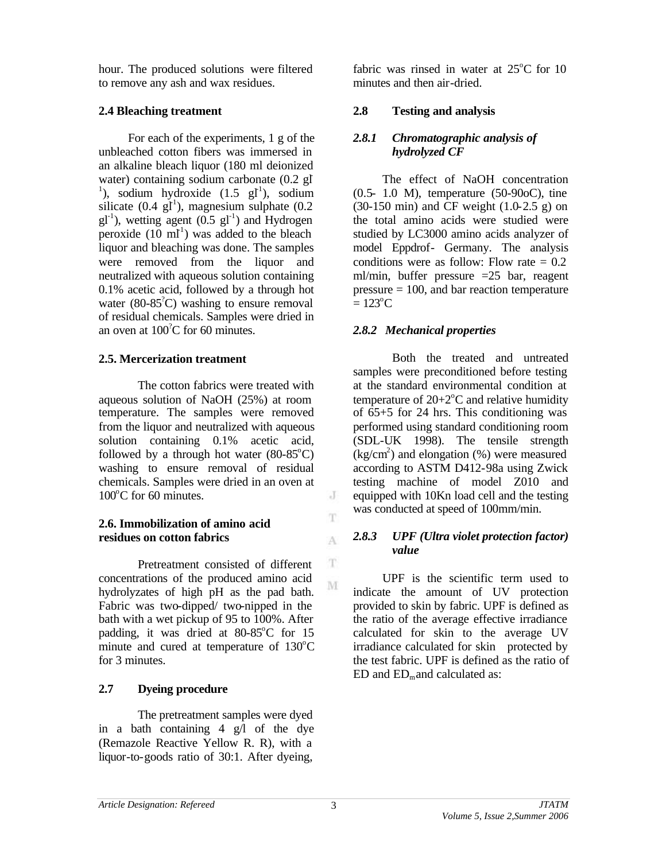hour. The produced solutions were filtered to remove any ash and wax residues.

## **2.4 Bleaching treatment**

For each of the experiments, 1 g of the unbleached cotton fibers was immersed in an alkaline bleach liquor (180 ml deionized water) containing sodium carbonate (0.2 gI <sup>1</sup>), sodium hydroxide  $(1.5 \text{ gI}^1)$ , sodium silicate  $(0.4 \text{ g}^{\dagger})$ , magnesium sulphate  $(0.2 \text{ g}^{\dagger})$  $gl^{-1}$ ), wetting agent (0.5  $gl^{-1}$ ) and Hydrogen peroxide  $(10 \text{ ml}^1)$  was added to the bleach liquor and bleaching was done. The samples were removed from the liquor and neutralized with aqueous solution containing 0.1% acetic acid, followed by a through hot water  $(80-85^{\degree}C)$  washing to ensure removal of residual chemicals. Samples were dried in an oven at  $100^{\circ}$ C for 60 minutes.

# **2.5. Mercerization treatment**

The cotton fabrics were treated with aqueous solution of NaOH (25%) at room temperature. The samples were removed from the liquor and neutralized with aqueous solution containing 0.1% acetic acid, followed by a through hot water  $(80-85^{\circ}C)$ washing to ensure removal of residual chemicals. Samples were dried in an oven at  $100^{\circ}$ C for 60 minutes.

## **2.6. Immobilization of amino acid residues on cotton fabrics**

Pretreatment consisted of different concentrations of the produced amino acid hydrolyzates of high pH as the pad bath. Fabric was two-dipped/ two-nipped in the bath with a wet pickup of 95 to 100%. After padding, it was dried at  $80-85^{\circ}$ C for 15 minute and cured at temperature of  $130^{\circ}$ C for 3 minutes.

# **2.7 Dyeing procedure**

The pretreatment samples were dyed in a bath containing 4 g/l of the dye (Remazole Reactive Yellow R. R), with a liquor-to-goods ratio of 30:1. After dyeing,

fabric was rinsed in water at  $25^{\circ}$ C for 10 minutes and then air-dried.

# **2.8 Testing and analysis**

## *2.8.1 Chromatographic analysis of hydrolyzed CF*

The effect of NaOH concentration (0.5- 1.0 M), temperature (50-90oC), tine  $(30-150 \text{ min})$  and CF weight  $(1.0-2.5 \text{ g})$  on the total amino acids were studied were studied by LC3000 amino acids analyzer of model Eppdrof- Germany. The analysis conditions were as follow: Flow rate  $= 0.2$ ml/min, buffer pressure =25 bar, reagent pressure  $= 100$ , and bar reaction temperature  $= 123$ <sup>o</sup>C

# *2.8.2 Mechanical properties*

Both the treated and untreated samples were preconditioned before testing at the standard environmental condition at temperature of  $20+2$ <sup>o</sup>C and relative humidity of  $65+5$  for 24 hrs. This conditioning was performed using standard conditioning room (SDL-UK 1998). The tensile strength  $(kg/cm<sup>2</sup>)$  and elongation (%) were measured according to ASTM D412-98a using Zwick testing machine of model Z010 and equipped with 10Kn load cell and the testing was conducted at speed of 100mm/min.

### *2.8.3 UPF (Ultra violet protection factor) value*

UPF is the scientific term used to indicate the amount of UV protection provided to skin by fabric. UPF is defined as the ratio of the average effective irradiance calculated for skin to the average UV irradiance calculated for skin protected by the test fabric. UPF is defined as the ratio of  $ED$  and  $ED<sub>m</sub>$  and calculated as:

 $J$ 

 $\mathbf T$ 

A

T M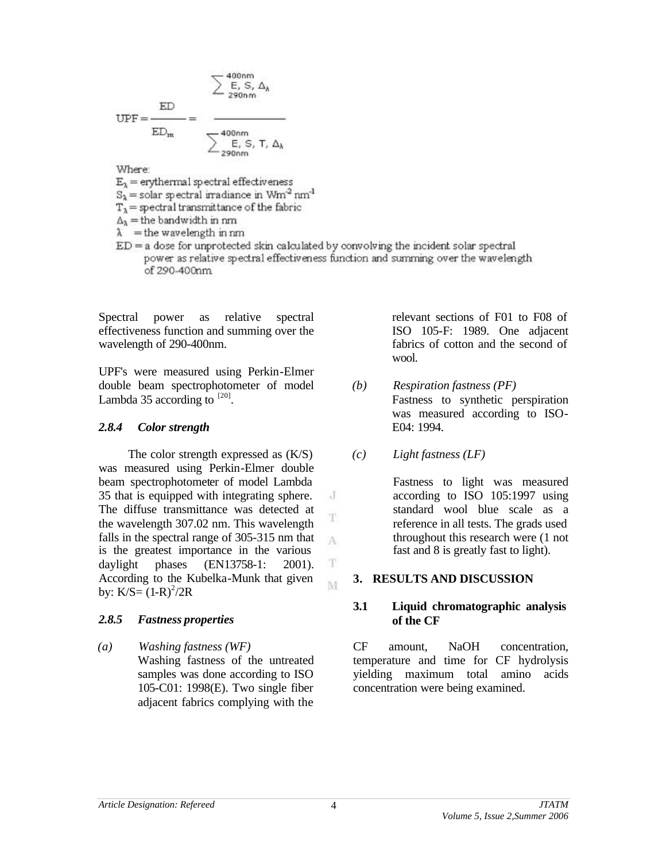$$
\underbrace{\text{LFD}}_{\text{ED}_{\text{m}}} = \frac{\text{LFD}}{\text{LFD}_{\text{m}}} = \frac{\sum_{\substack{\text{LFD} \\ \text{LFD}_{\text{m}}}}{\sum_{\substack{\text{LFD} \\ \text{LFD}_{\text{m}}}} \sum_{\substack{\text{LFD} \\ \text{LFD}_{\text{m}}}} \Delta_{\lambda}} \label{eq:1}
$$

Where:

 $E_2$  = erythermal spectral effectiveness

 $S_{\lambda}$  = solar spectral irradiance in  $Wm^2$  nm<sup>1</sup>

 $T_{\lambda}$  = spectral transmittance of the fabric

 $\Delta_{\lambda}$  = the bandwidth in nm

 $\lambda$  = the wavelength in nm

 $ED = a$  dose for unprotected skin calculated by convolving the incident solar spectral power as relative spectral effectiveness function and summing over the wavelength of 290-400nm

> J T

> A

T M

Spectral power as relative spectral effectiveness function and summing over the wavelength of 290-400nm.

UPF's were measured using Perkin-Elmer double beam spectrophotometer of model Lambda 35 according to  $^{[20]}$ .

### *2.8.4 Color strength*

The color strength expressed as (K/S) was measured using Perkin-Elmer double beam spectrophotometer of model Lambda 35 that is equipped with integrating sphere. The diffuse transmittance was detected at the wavelength 307.02 nm. This wavelength falls in the spectral range of 305-315 nm that is the greatest importance in the various daylight phases (EN13758-1: 2001). According to the Kubelka-Munk that given by:  $K/S = (1-R)^2/2R$ 

## *2.8.5 Fastness properties*

*(a) Washing fastness (WF)*  Washing fastness of the untreated samples was done according to ISO 105-C01: 1998(E). Two single fiber adjacent fabrics complying with the

relevant sections of F01 to F08 of ISO 105-F: 1989. One adjacent fabrics of cotton and the second of wool.

- *(b) Respiration fastness (PF)* Fastness to synthetic perspiration was measured according to ISO-E04: 1994.
- *(c) Light fastness (LF)*

Fastness to light was measured according to ISO 105:1997 using standard wool blue scale as a reference in all tests. The grads used throughout this research were (1 not fast and 8 is greatly fast to light).

#### **3. RESULTS AND DISCUSSION**

#### **3.1 Liquid chromatographic analysis of the CF**

CF amount, NaOH concentration, temperature and time for CF hydrolysis yielding maximum total amino acids concentration were being examined.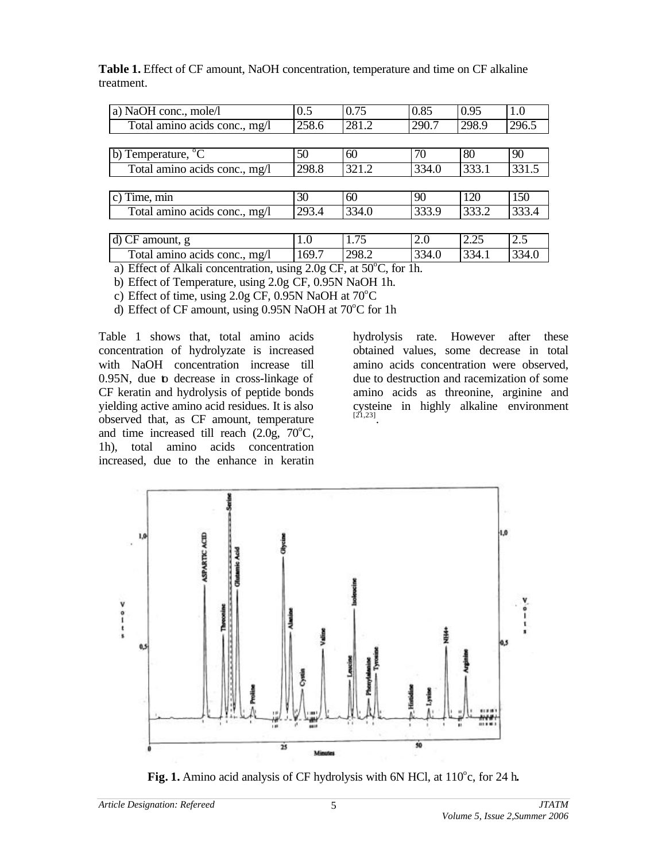| a) NaOH conc., mole/l          | 0.5   | 0.75  | 0.85  | 0.95  | 1.0   |
|--------------------------------|-------|-------|-------|-------|-------|
| Total amino acids conc., mg/l  | 258.6 | 281.2 | 290.7 | 298.9 | 296.5 |
|                                |       |       |       |       |       |
| b) Temperature, <sup>o</sup> C | 50    | 60    | 70    | 80    | 90    |
| Total amino acids conc., mg/l  | 298.8 | 321.2 | 334.0 | 333.1 | 331.5 |
|                                |       |       |       |       |       |
| c) Time, min                   | 30    | 60    | 90    | 120   | 150   |
| Total amino acids conc., mg/l  | 293.4 | 334.0 | 333.9 | 333.2 | 333.4 |
|                                |       |       |       |       |       |
| d) CF amount, g                | 1.0   | 1.75  | 2.0   | 2.25  | 2.5   |
| Total amino acids conc., mg/l  | 169.7 | 298.2 | 334.0 | 334.1 | 334.0 |

**Table 1.** Effect of CF amount, NaOH concentration, temperature and time on CF alkaline treatment.

a) Effect of Alkali concentration, using  $2.0g$  CF, at  $50^{\circ}$ C, for 1h.

b) Effect of Temperature, using 2.0g CF, 0.95N NaOH 1h.

c) Effect of time, using  $2.0g$  CF, 0.95N NaOH at  $70^{\circ}$ C

d) Effect of CF amount, using  $0.95N$  NaOH at  $70^{\circ}$ C for 1h

Table 1 shows that, total amino acids concentration of hydrolyzate is increased with NaOH concentration increase till 0.95N, due to decrease in cross-linkage of CF keratin and hydrolysis of peptide bonds yielding active amino acid residues. It is also observed that, as CF amount, temperature and time increased till reach  $(2.0g, 70^{\circ}C,$ 1h), total amino acids concentration increased, due to the enhance in keratin

hydrolysis rate. However after these obtained values, some decrease in total amino acids concentration were observed, due to destruction and racemization of some amino acids as threonine, arginine and cysteine in highly alkaline environment [21,23] .



Fig. 1. Amino acid analysis of CF hydrolysis with 6N HCl, at 110°c, for 24 h.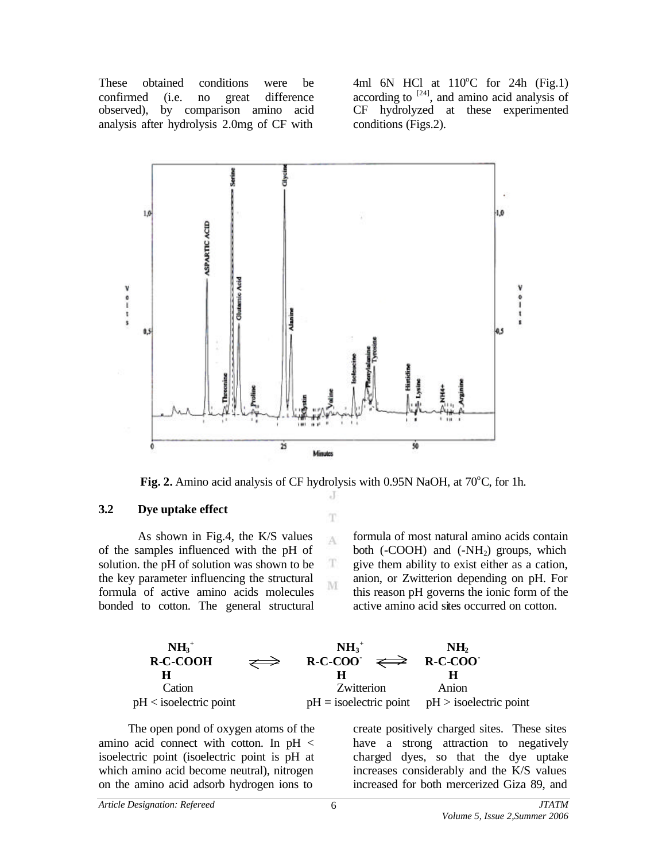These obtained conditions were be confirmed (i.e. no great difference observed), by comparison amino acid analysis after hydrolysis 2.0mg of CF with

4ml 6N HCl at  $110^{\circ}$ C for 24h (Fig.1) according to  $[24]$ , and amino acid analysis of CF hydrolyzed at these experimented conditions (Figs.2).



**Fig. 2.** Amino acid analysis of CF hydrolysis with 0.95N NaOH, at  $70^{\circ}$ C, for 1h. J

T

A

T M

#### **3.2 Dye uptake effect**

As shown in Fig.4, the K/S values of the samples influenced with the pH of solution. the pH of solution was shown to be the key parameter influencing the structural formula of active amino acids molecules bonded to cotton. The general structural formula of most natural amino acids contain both  $(-COOH)$  and  $(-NH<sub>2</sub>)$  groups, which give them ability to exist either as a cation, anion, or Zwitterion depending on pH. For this reason pH governs the ionic form of the active amino acid sites occurred on cotton.

| $NH3+$                    |               | $NH3+$                                    | NH <sub>2</sub>                                   |
|---------------------------|---------------|-------------------------------------------|---------------------------------------------------|
| <b>R-C-COOH</b>           | $\Rightarrow$ | $R-C-COO$ $\Longleftrightarrow$ $R-C-COO$ |                                                   |
|                           |               |                                           |                                                   |
| Cation                    |               | Zwitterion                                | Anion                                             |
| $pH < i$ soelectric point |               |                                           | $pH =$ isoelectric point $pH >$ isoelectric point |

The open pond of oxygen atoms of the amino acid connect with cotton. In pH < isoelectric point (isoelectric point is pH at which amino acid become neutral), nitrogen on the amino acid adsorb hydrogen ions to

create positively charged sites. These sites have a strong attraction to negatively charged dyes, so that the dye uptake increases considerably and the K/S values increased for both mercerized Giza 89, and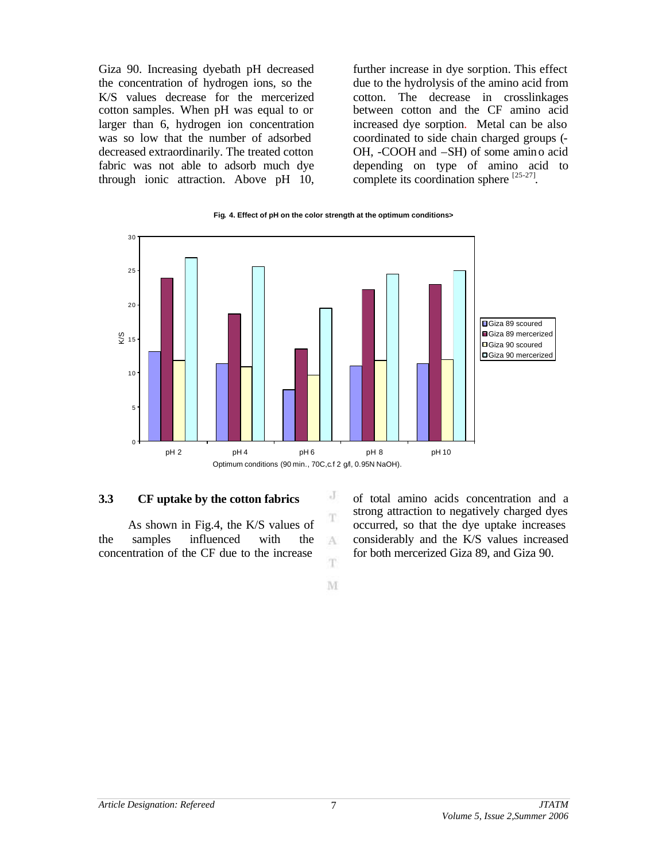Giza 90. Increasing dyebath pH decreased the concentration of hydrogen ions, so the K/S values decrease for the mercerized cotton samples. When pH was equal to or larger than 6, hydrogen ion concentration was so low that the number of adsorbed decreased extraordinarily. The treated cotton fabric was not able to adsorb much dye through ionic attraction. Above pH 10,

further increase in dye sorption. This effect due to the hydrolysis of the amino acid from cotton. The decrease in crosslinkages between cotton and the CF amino acid increased dye sorption. Metal can be also coordinated to side chain charged groups (- OH, -COOH and –SH) of some amino acid depending on type of amino acid to complete its coordination sphere  $^{[25-27]}$ .





#### **3.3 CF uptake by the cotton fabrics**

As shown in Fig.4, the K/S values of the samples influenced with the concentration of the CF due to the increase

of total amino acids concentration and a strong attraction to negatively charged dyes occurred, so that the dye uptake increases considerably and the K/S values increased for both mercerized Giza 89, and Giza 90.

M

J T

A Ŧ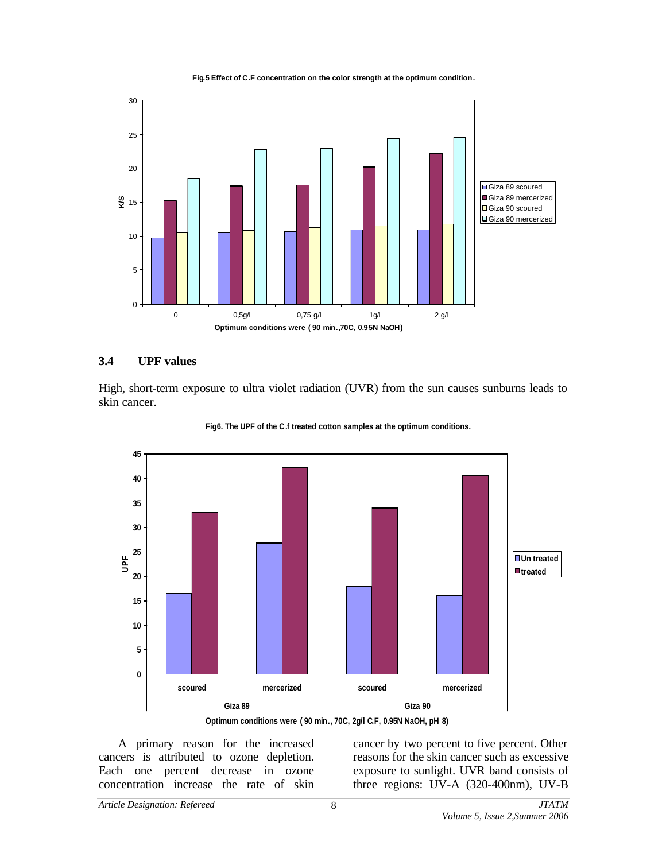**Fig.5 Effect of C.F concentration on the color strength at the optimum condition.**



### **3.4 UPF values**

High, short-term exposure to ultra violet radiation (UVR) from the sun causes sunburns leads to skin cancer.





A primary reason for the increased cancers is attributed to ozone depletion. Each one percent decrease in ozone concentration increase the rate of skin cancer by two percent to five percent. Other reasons for the skin cancer such as excessive exposure to sunlight. UVR band consists of three regions: UV-A (320-400nm), UV-B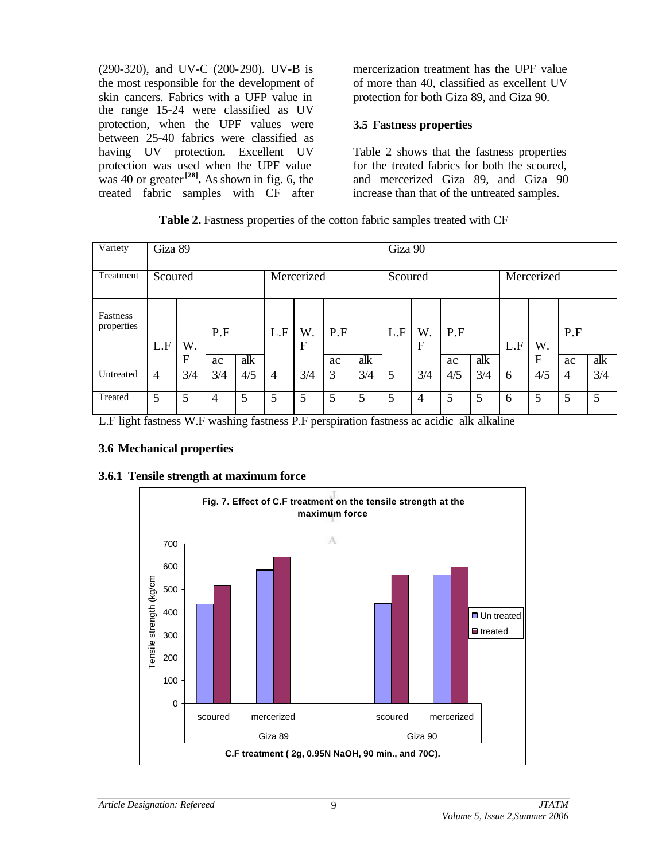(290-320), and UV-C (200-290). UV-B is the most responsible for the development of skin cancers. Fabrics with a UFP value in the range 15-24 were classified as UV protection, when the UPF values were between 25-40 fabrics were classified as having UV protection. Excellent UV protection was used when the UPF value was 40 or greater<sup>[28]</sup>. As shown in fig. 6, the treated fabric samples with CF after

mercerization treatment has the UPF value of more than 40, classified as excellent UV protection for both Giza 89, and Giza 90.

### **3.5 Fastness properties**

Table 2 shows that the fastness properties for the treated fabrics for both the scoured, and mercerized Giza 89, and Giza 90 increase than that of the untreated samples.

| Table 2. Fastness properties of the cotton fabric samples treated with CF |  |  |  |  |
|---------------------------------------------------------------------------|--|--|--|--|
|---------------------------------------------------------------------------|--|--|--|--|

| Variety                | Giza 89        |     |     |            |                |         |         |     | Giza 90 |                   |     |     |     |     |                |                 |
|------------------------|----------------|-----|-----|------------|----------------|---------|---------|-----|---------|-------------------|-----|-----|-----|-----|----------------|-----------------|
| Treatment              | Scoured        |     |     | Mercerized |                |         | Scoured |     |         | Mercerized        |     |     |     |     |                |                 |
| Fastness<br>properties | L.F            | W.  | P.F |            | L.F            | W.<br>F | P.F     |     | L.F     | W.<br>$\mathbf F$ | P.F |     | L.F | W.  | P.F            |                 |
|                        |                | F   | ac  | alk        |                |         | ac      | alk |         |                   | ac  | alk |     | F   | ac             | alk             |
| Untreated              | $\overline{4}$ | 3/4 | 3/4 | 4/5        | $\overline{4}$ | 3/4     | 3       | 3/4 | 5       | 3/4               | 4/5 | 3/4 | 6   | 4/5 | $\overline{4}$ | 3/4             |
| Treated                | 5              | 5   | 4   | 5          | 5              | 5       | 5       | 5   | 5       | 4                 |     |     | 6   | 5   | 5              | $5\overline{)}$ |

L.F light fastness W.F washing fastness P.F perspiration fastness ac acidic alk alkaline

## **3.6 Mechanical properties**

## **3.6.1 Tensile strength at maximum force**

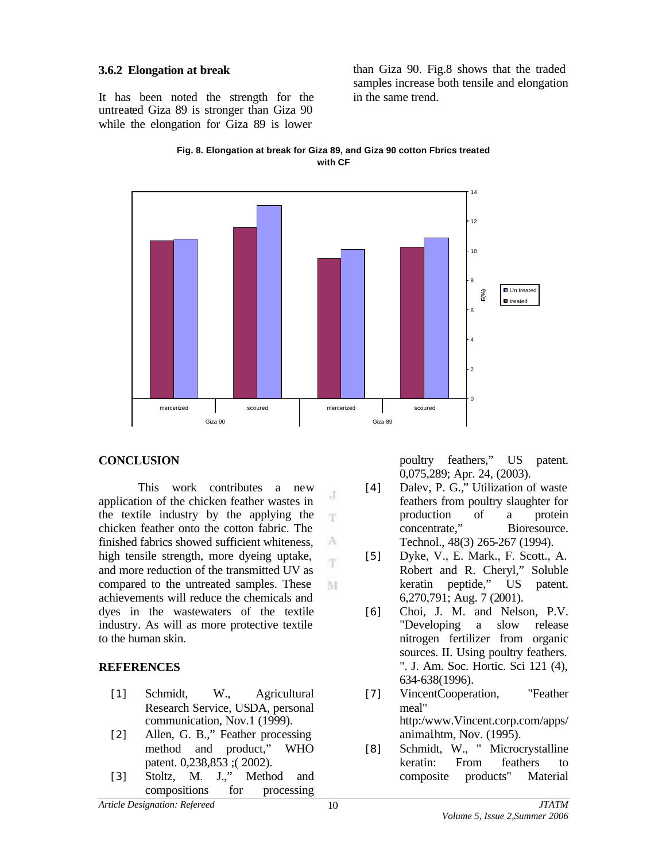#### **3.6.2 Elongation at break**

It has been noted the strength for the untreated Giza 89 is stronger than Giza 90 while the elongation for Giza 89 is lower

than Giza 90. Fig.8 shows that the traded samples increase both tensile and elongation in the same trend.





 $_{\rm c}$  J m.

A m.

## **CONCLUSION**

This work contributes a new application of the chicken feather wastes in the textile industry by the applying the chicken feather onto the cotton fabric. The finished fabrics showed sufficient whiteness, high tensile strength, more dyeing uptake, and more reduction of the transmitted UV as compared to the untreated samples. These M achievements will reduce the chemicals and dyes in the wastewaters of the textile industry. As will as more protective textile to the human skin.

# **REFERENCES**

- [1] Schmidt, W., Agricultural Research Service, USDA, personal communication, Nov.1 (1999).
- [2] Allen, G. B.," Feather processing method and product," WHO patent. 0,238,853 ;( 2002).
- [3] Stoltz, M. J.," Method and compositions for processing

poultry feathers," US patent. 0,075,289; Apr. 24, (2003).

- [4] Dalev, P. G.," Utilization of waste feathers from poultry slaughter for production of a protein concentrate," Bioresource. Technol., 48(3) 265-267 (1994).
- [5] Dyke, V., E. Mark., F. Scott., A. Robert and R. Cheryl," Soluble keratin peptide," US patent. 6,270,791; Aug. 7 (2001).
- [6] Choi, J. M. and Nelson, P.V. "Developing a slow release nitrogen fertilizer from organic sources. II. Using poultry feathers. ". J. Am. Soc. Hortic. Sci 121 (4), 634-638(1996).
- [7] VincentCooperation, "Feather meal" http:/www.Vincent.corp.com/apps/ animalhtm, Nov. (1995).
- [8] Schmidt, W., " Microcrystalline keratin: From feathers to composite products" Material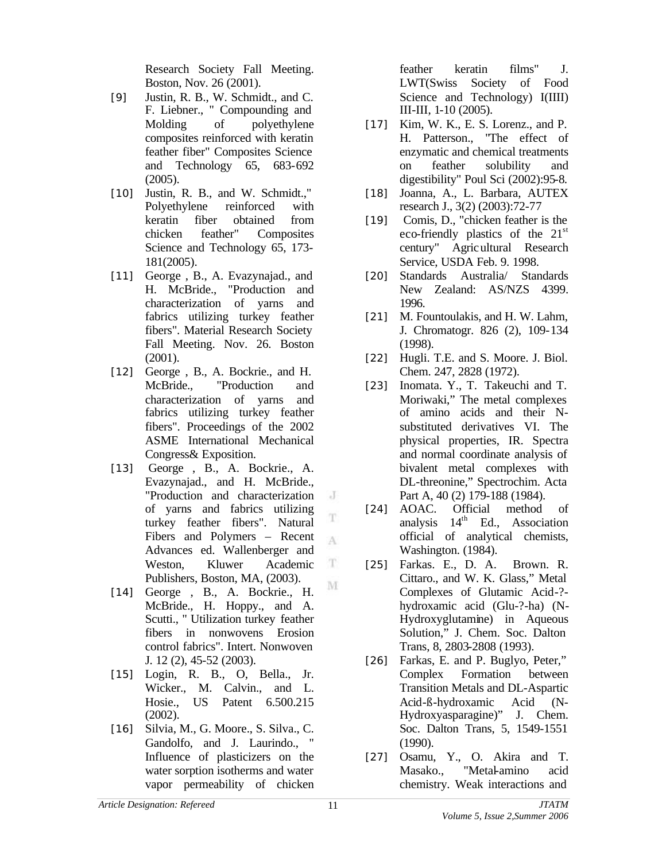Research Society Fall Meeting. Boston, Nov. 26 (2001).

- [9] Justin, R. B., W. Schmidt., and C. F. Liebner., " Compounding and Molding of polyethylene composites reinforced with keratin feather fiber" Composites Science and Technology 65, 683-692 (2005).
- [10] Justin, R. B., and W. Schmidt.," Polyethylene reinforced with keratin fiber obtained from chicken feather" Composites Science and Technology 65, 173- 181(2005).
- [11] George, B., A. Evazynajad., and H. McBride., "Production and characterization of yarns and fabrics utilizing turkey feather fibers". Material Research Society Fall Meeting. Nov. 26. Boston (2001).
- [12] George, B., A. Bockrie., and H. McBride., "Production and characterization of yarns and fabrics utilizing turkey feather fibers". Proceedings of the 2002 ASME International Mechanical Congress& Exposition.
- [13] George , B., A. Bockrie., A. Evazynajad., and H. McBride., "Production and characterization of yarns and fabrics utilizing turkey feather fibers". Natural Fibers and Polymers – Recent Advances ed. Wallenberger and T Weston, Kluwer Academic Publishers, Boston, MA, (2003).
- [14] George , B., A. Bockrie., H. McBride., H. Hoppy., and A. Scutti., " Utilization turkey feather fibers in nonwovens Erosion control fabrics". Intert. Nonwoven J. 12 (2), 45-52 (2003).
- [15] Login, R. B., O, Bella., Jr. Wicker., M. Calvin., and L. Hosie., US Patent 6.500.215 (2002).
- [16] Silvia, M., G. Moore., S. Silva., C. Gandolfo, and J. Laurindo., " Influence of plasticizers on the water sorption isotherms and water vapor permeability of chicken

feather keratin films" J. LWT(Swiss Society of Food Science and Technology) I(IIII) III-III, 1-10 (2005).

- [17] Kim, W. K., E. S. Lorenz., and P. H. Patterson., "The effect of enzymatic and chemical treatments on feather solubility and digestibility" Poul Sci (2002):95-8.
- [18] Joanna, A., L. Barbara, AUTEX research J., 3(2) (2003):72-77
- [19] Comis, D., "chicken feather is the eco-friendly plastics of the  $21<sup>st</sup>$ century" Agricultural Research Service, USDA Feb. 9. 1998.
- [20] Standards Australia/ Standards New Zealand: AS/NZS 4399. 1996.
- [21] M. Fountoulakis, and H. W. Lahm, J. Chromatogr. 826 (2), 109-134 (1998).
- [22] Hugli. T.E. and S. Moore. J. Biol. Chem. 247, 2828 (1972).
- [23] Inomata. Y., T. Takeuchi and T. Moriwaki," The metal complexes of amino acids and their Nsubstituted derivatives VI. The physical properties, IR. Spectra and normal coordinate analysis of bivalent metal complexes with DL-threonine," Spectrochim. Acta Part A, 40 (2) 179-188 (1984).
- [24] AOAC. Official method of analysis  $14<sup>th</sup>$  Ed., Association official of analytical chemists, Washington. (1984).
- [25] Farkas. E., D. A. Brown. R. Cittaro., and W. K. Glass," Metal Complexes of Glutamic Acid-? hydroxamic acid (Glu-?-ha) (N-Hydroxyglutamine) in Aqueous Solution," J. Chem. Soc. Dalton Trans, 8, 2803-2808 (1993).
- [26] Farkas, E. and P. Buglyo, Peter," Complex Formation between Transition Metals and DL-Aspartic Acid-ß-hydroxamic Acid (N-Hydroxyasparagine)" J. Chem. Soc. Dalton Trans, 5, 1549-1551 (1990).
- [27] Osamu, Y., O. Akira and T. Masako., "Metal-amino acid chemistry. Weak interactions and

 $\cdot$ 

T

A

M